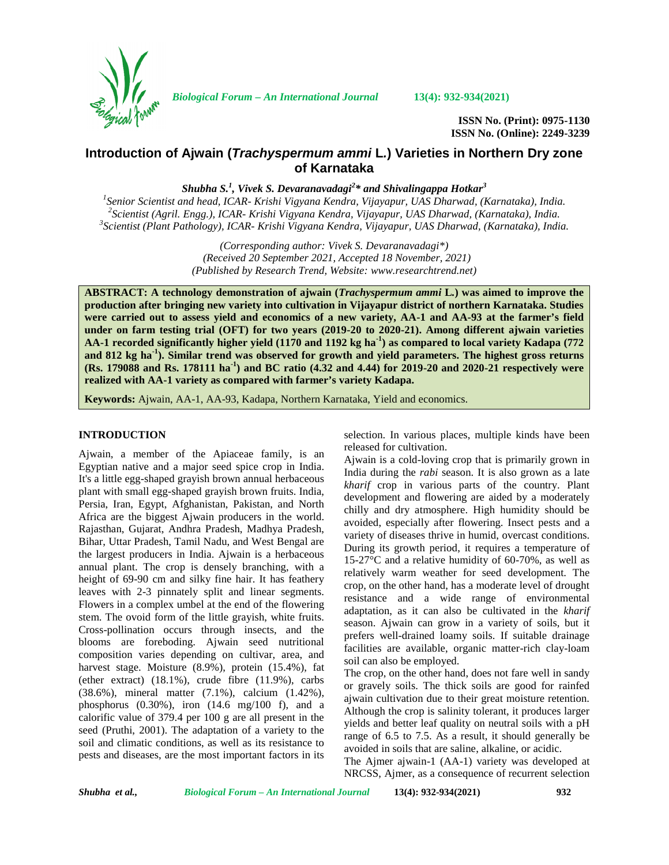

*Biological Forum – An International Journal* **13(4): 932-934(2021)**

**ISSN No. (Print): 0975-1130 ISSN No. (Online): 2249-3239**

# **Introduction of Ajwain (***Trachyspermum ammi* **L***.***) Varieties in Northern Dry zone of Karnataka**

*Shubha S.<sup>1</sup> , Vivek S. Devaranavadagi<sup>2</sup>\* and Shivalingappa Hotkar<sup>3</sup>*

<sup>1</sup>Senior Scientist and head, ICAR- Krishi Vigyana Kendra, Vijayapur, UAS Dharwad, (Karnataka), India.<br><sup>2</sup>Scientist (Agril. Engg.), ICAR- Krishi Vigyana Kendra, Vijayapur, UAS Dharwad, (Karnataka), India.<br><sup>3</sup>Scientist (Pl

*(Corresponding author: Vivek S. Devaranavadagi\*) (Received 20 September 2021, Accepted 18 November, 2021) (Published by Research Trend, Website: [www.researchtrend.net\)](www.researchtrend.net)*

**ABSTRACT: A technology demonstration of ajwain (***Trachyspermum ammi* **L***.***) was aimed to improve the production after bringing new variety into cultivation in Vijayapur district of northern Karnataka. Studies were carried out to assess yield and economics of a new variety, AA-1 and AA-93 at the farmer's field under on farm testing trial (OFT) for two years (2019-20 to 2020-21). Among different ajwain varieties AA-1 recorded significantly higher yield (1170 and 1192 kg ha-1) as compared to local variety Kadapa (772 and 812 kg ha-1). Similar trend was observed for growth and yield parameters. The highest gross returns (Rs. 179088 and Rs. 178111 ha-1) and BC ratio (4.32 and 4.44) for 2019-20 and 2020-21 respectively were realized with AA-1 variety as compared with farmer's variety Kadapa.**

**Keywords:** Ajwain, AA-1, AA-93, Kadapa, Northern Karnataka, Yield and economics.

### **INTRODUCTION**

Ajwain, a member of the Apiaceae family, is an Egyptian native and a major seed spice crop in India. It's a little egg-shaped grayish brown annual herbaceous plant with small egg-shaped grayish brown fruits. India, Persia, Iran, Egypt, Afghanistan, Pakistan, and North Africa are the biggest Ajwain producers in the world. Rajasthan, Gujarat, Andhra Pradesh, Madhya Pradesh, Bihar, Uttar Pradesh, Tamil Nadu, and West Bengal are the largest producers in India. Ajwain is a herbaceous annual plant. The crop is densely branching, with a height of 69-90 cm and silky fine hair. It has feathery leaves with 2-3 pinnately split and linear segments. Flowers in a complex umbel at the end of the flowering stem. The ovoid form of the little grayish, white fruits. Cross-pollination occurs through insects, and the blooms are foreboding. Ajwain seed nutritional composition varies depending on cultivar, area, and harvest stage. Moisture (8.9%), protein (15.4%), fat (ether extract) (18.1%), crude fibre (11.9%), carbs (38.6%), mineral matter (7.1%), calcium (1.42%), phosphorus (0.30%), iron (14.6 mg/100 f), and a calorific value of 379.4 per 100 g are all present in the seed (Pruthi, 2001). The adaptation of a variety to the soil and climatic conditions, as well as its resistance to pests and diseases, are the most important factors in its

selection. In various places, multiple kinds have been released for cultivation.

Ajwain is a cold-loving crop that is primarily grown in India during the *rabi* season. It is also grown as a late *kharif* crop in various parts of the country. Plant development and flowering are aided by a moderately chilly and dry atmosphere. High humidity should be avoided, especially after flowering. Insect pests and a variety of diseases thrive in humid, overcast conditions. During its growth period, it requires a temperature of 15-27°C and a relative humidity of 60-70%, as well as relatively warm weather for seed development. The crop, on the other hand, has a moderate level of drought resistance and a wide range of environmental adaptation, as it can also be cultivated in the *kharif* season. Ajwain can grow in a variety of soils, but it prefers well-drained loamy soils. If suitable drainage facilities are available, organic matter-rich clay-loam soil can also be employed.

The crop, on the other hand, does not fare well in sandy or gravely soils. The thick soils are good for rainfed ajwain cultivation due to their great moisture retention. Although the crop is salinity tolerant, it produces larger yields and better leaf quality on neutral soils with a pH range of 6.5 to 7.5. As a result, it should generally be avoided in soils that are saline, alkaline, or acidic.

The Ajmer ajwain-1 (AA-1) variety was developed at NRCSS, Ajmer, as a consequence of recurrent selection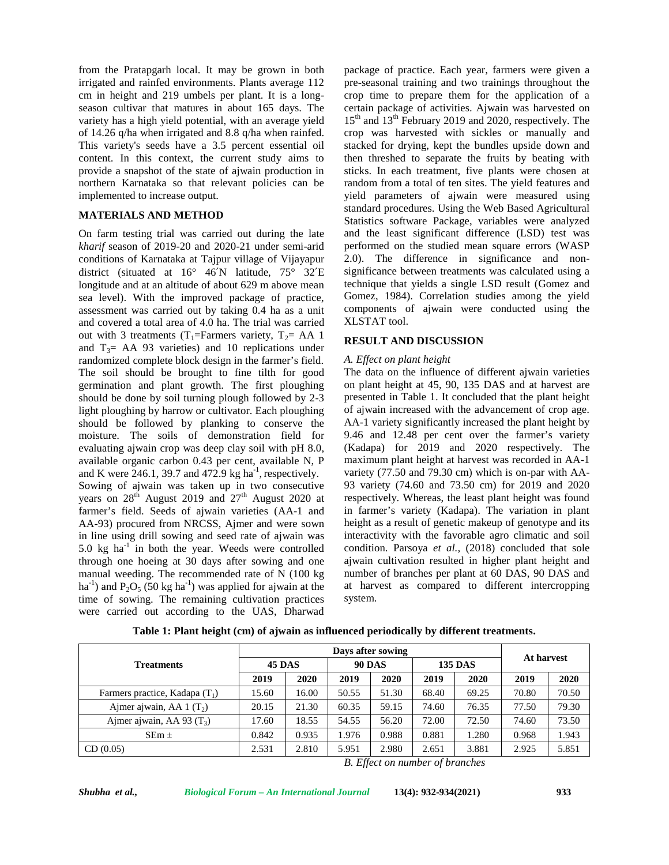from the Pratapgarh local. It may be grown in both irrigated and rainfed environments. Plants average 112 cm in height and 219 umbels per plant. It is a long season cultivar that matures in about 165 days. The variety has a high yield potential, with an average yield of 14.26 q/ha when irrigated and 8.8 q/ha when rainfed. This variety's seeds have a 3.5 percent essential oil content. In this context, the current study aims to provide a snapshot of the state of ajwain production in northern Karnataka so that relevant policies can be implemented to increase output.

## **MATERIALS AND METHOD**

On farm testing trial was carried out during the late *kharif* season of 2019-20 and 2020-21 under semi-arid conditions of Karnataka at Tajpur village of Vijayapur district (situated at 16° 46′N latitude, 75° 32′E longitude and at an altitude of about 629 m above mean sea level). With the improved package of practice, assessment was carried out by taking 0.4 ha as a unit and covered a total area of 4.0 ha. The trial was carried out with 3 treatments (T<sub>1</sub>=Farmers variety, T<sub>2</sub>= AA 1 and  $T_3$ = AA 93 varieties) and 10 replications under randomized complete block design in the farmer's field. The soil should be brought to fine tilth for good germination and plant growth. The first ploughing should be done by soil turning plough followed by 2-3 light ploughing by harrow or cultivator. Each ploughing should be followed by planking to conserve the moisture. The soils of demonstration field for evaluating ajwain crop was deep clay soil with pH 8.0, available organic carbon 0.43 per cent, available N, P and K were 246.1, 39.7 and 472.9 kg ha<sup>-1</sup>, respectively. Sowing of ajwain was taken up in two consecutive years on  $28<sup>th</sup>$  August 2019 and  $27<sup>th</sup>$  August 2020 at farmer's field. Seeds of ajwain varieties (AA-1 and AA-93) procured from NRCSS, Ajmer and were sown in line using drill sowing and seed rate of ajwain was 5.0  $kg$  ha<sup>-1</sup> in both the year. Weeds were controlled cond through one hoeing at 30 days after sowing and one manual weeding. The recommended rate of N (100 kg ha<sup>-1</sup>) and  $P_2O_5$  (50 kg ha<sup>-1</sup>) was applied for ajwain at the time of sowing. The remaining cultivation practices were carried out according to the UAS, Dharwad

package of practice. Each year, farmers were given a pre-seasonal training and two trainings throughout the crop time to prepare them for the application of a certain package of activities. Ajwain was harvested on 15<sup>th</sup> and 13<sup>th</sup> February 2019 and 2020, respectively. The crop was harvested with sickles or manually and stacked for drying, kept the bundles upside down and then threshed to separate the fruits by beating with sticks. In each treatment, five plants were chosen at random from a total of ten sites. The yield features and yield parameters of ajwain were measured using standard procedures. Using the Web Based Agricultural Statistics software Package, variables were analyzed and the least significant difference (LSD) test was performed on the studied mean square errors (WASP 2.0). The difference in significance and non significance between treatments was calculated using a technique that yields a single LSD result (Gomez and Gomez, 1984). Correlation studies among the yield components of ajwain were conducted using the XLSTAT tool.

## **RESULT AND DISCUSSION**

## *A. Effect on plant height*

The data on the influence of different ajwain varieties on plant height at 45, 90, 135 DAS and at harvest are presented in Table 1. It concluded that the plant height of ajwain increased with the advancement of crop age. AA-1 variety significantly increased the plant height by 9.46 and 12.48 per cent over the farmer's variety (Kadapa) for 2019 and 2020 respectively. The maximum plant height at harvest was recorded in AA-1 variety (77.50 and 79.30 cm) which is on-par with AA- 93 variety (74.60 and 73.50 cm) for 2019 and 2020 respectively. Whereas, the least plant height was found in farmer's variety (Kadapa). The variation in plant height as a result of genetic makeup of genotype and its interactivity with the favorable agro climatic and soil condition. Parsoya *et al.,* (2018) concluded that sole ajwain cultivation resulted in higher plant height and number of branches per plant at 60 DAS, 90 DAS and at harvest as compared to different intercropping system.

|                                  | Days after sowing |       |               |       |                |       |            |       |
|----------------------------------|-------------------|-------|---------------|-------|----------------|-------|------------|-------|
| <b>Treatments</b>                | <b>45 DAS</b>     |       | <b>90 DAS</b> |       | <b>135 DAS</b> |       | At harvest |       |
|                                  | 2019              | 2020  | 2019          | 2020  | 2019           | 2020  | 2019       | 2020  |
| Farmers practice, Kadapa $(T_1)$ | 15.60             | 16.00 | 50.55         | 51.30 | 68.40          | 69.25 | 70.80      | 70.50 |
| Ajmer ajwain, AA 1 $(T_2)$       | 20.15             | 21.30 | 60.35         | 59.15 | 74.60          | 76.35 | 77.50      | 79.30 |
| Ajmer ajwain, AA 93 $(T_3)$      | 17.60             | 18.55 | 54.55         | 56.20 | 72.00          | 72.50 | 74.60      | 73.50 |
| $SEm \pm$                        | 0.842             | 0.935 | 1.976         | 0.988 | 0.881          | 1.280 | 0.968      | 1.943 |
| CD(0.05)                         | 2.531             | 2.810 | 5.951         | 2.980 | 2.651          | 3.881 | 2.925      | 5.851 |

**Table 1: Plant height (cm) of ajwain as influenced periodically by different treatments.**

*B. Effect on number of branches*